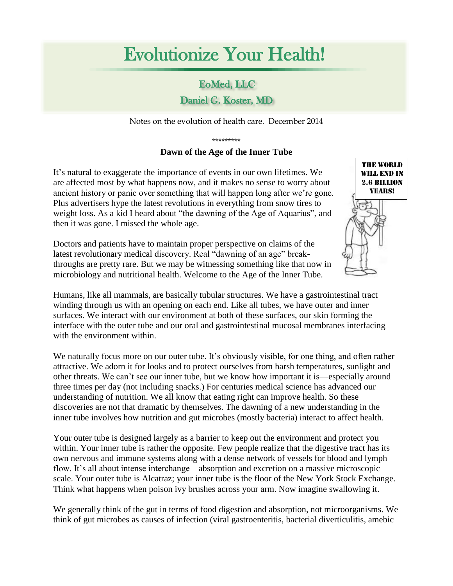## Evolutionize Your Health!

## EoMed, LLC

## Daniel G. Koster, MD

Notes on the evolution of health care. December 2014

## \*\*\*\*\*\*\*\*\* **Dawn of the Age of the Inner Tube**

It's natural to exaggerate the importance of events in our own lifetimes. We are affected most by what happens now, and it makes no sense to worry about ancient history or panic over something that will happen long after we're gone. Plus advertisers hype the latest revolutions in everything from snow tires to weight loss. As a kid I heard about "the dawning of the Age of Aquarius", and then it was gone. I missed the whole age.

Doctors and patients have to maintain proper perspective on claims of the latest revolutionary medical discovery. Real "dawning of an age" breakthroughs are pretty rare. But we may be witnessing something like that now in microbiology and nutritional health. Welcome to the Age of the Inner Tube.

Humans, like all mammals, are basically tubular structures. We have a gastrointestinal tract winding through us with an opening on each end. Like all tubes, we have outer and inner surfaces. We interact with our environment at both of these surfaces, our skin forming the interface with the outer tube and our oral and gastrointestinal mucosal membranes interfacing with the environment within.

We naturally focus more on our outer tube. It's obviously visible, for one thing, and often rather attractive. We adorn it for looks and to protect ourselves from harsh temperatures, sunlight and other threats. We can't see our inner tube, but we know how important it is—especially around three times per day (not including snacks.) For centuries medical science has advanced our understanding of nutrition. We all know that eating right can improve health. So these discoveries are not that dramatic by themselves. The dawning of a new understanding in the inner tube involves how nutrition and gut microbes (mostly bacteria) interact to affect health.

Your outer tube is designed largely as a barrier to keep out the environment and protect you within. Your inner tube is rather the opposite. Few people realize that the digestive tract has its own nervous and immune systems along with a dense network of vessels for blood and lymph flow. It's all about intense interchange—absorption and excretion on a massive microscopic scale. Your outer tube is Alcatraz; your inner tube is the floor of the New York Stock Exchange. Think what happens when poison ivy brushes across your arm. Now imagine swallowing it.

We generally think of the gut in terms of food digestion and absorption, not microorganisms. We think of gut microbes as causes of infection (viral gastroenteritis, bacterial diverticulitis, amebic